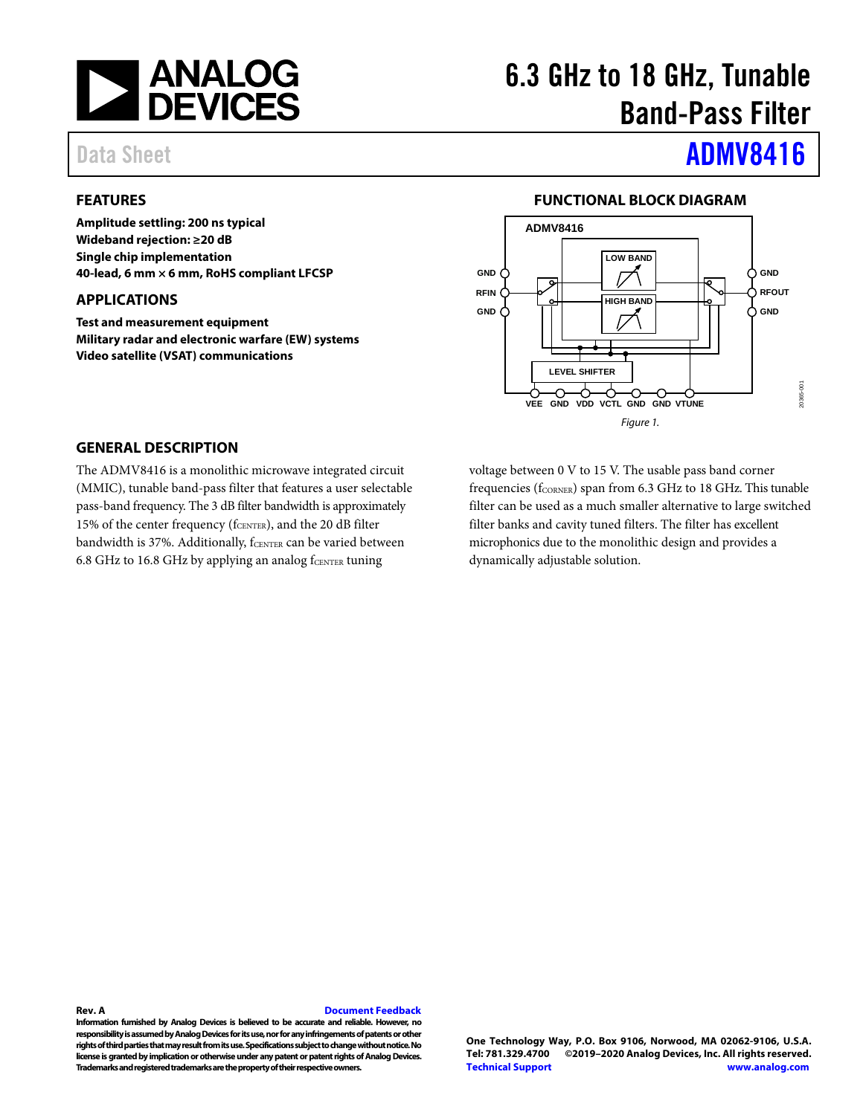

# 6.3 GHz to 18 GHz, Tunable Band-Pass Filter

# Data Sheet **[ADMV8416](https://www.analog.com/ADMV8416?doc=ADMV8416.pdf)**

## <span id="page-0-0"></span>**FEATURES**

**Amplitude settling: 200 ns typical Wideband rejection: ≥20 dB Single chip implementation 40-lead, 6 mm × 6 mm, RoHS compliant LFCSP**

### <span id="page-0-1"></span>**APPLICATIONS**

**Test and measurement equipment Military radar and electronic warfare (EW) systems Video satellite (VSAT) communications**

### **FUNCTIONAL BLOCK DIAGRAM**

<span id="page-0-2"></span>

### <span id="page-0-3"></span>**GENERAL DESCRIPTION**

The ADMV8416 is a monolithic microwave integrated circuit (MMIC), tunable band-pass filter that features a user selectable pass-band frequency. The 3 dB filter bandwidth is approximately 15% of the center frequency (f<sub>CENTER</sub>), and the 20 dB filter bandwidth is 37%. Additionally, fCENTER can be varied between 6.8 GHz to 16.8 GHz by applying an analog  $f_{\text{CENTER}}$  tuning

voltage between 0 V to 15 V. The usable pass band corner frequencies (f<sub>CORNER</sub>) span from 6.3 GHz to 18 GHz. This tunable filter can be used as a much smaller alternative to large switched filter banks and cavity tuned filters. The filter has excellent microphonics due to the monolithic design and provides a dynamically adjustable solution.

#### **Rev. A [Document Feedback](https://form.analog.com/Form_Pages/feedback/documentfeedback.aspx?doc=ADMV8416.pdf&product=ADMV8416&rev=A)**

**Information furnished by Analog Devices is believed to be accurate and reliable. However, no responsibility is assumed by Analog Devices for its use, nor for any infringements of patents or other rights of third parties that may result from its use. Specifications subject to change without notice. No license is granted by implication or otherwise under any patent or patent rights of Analog Devices. Trademarks and registered trademarks are the property of their respective owners.**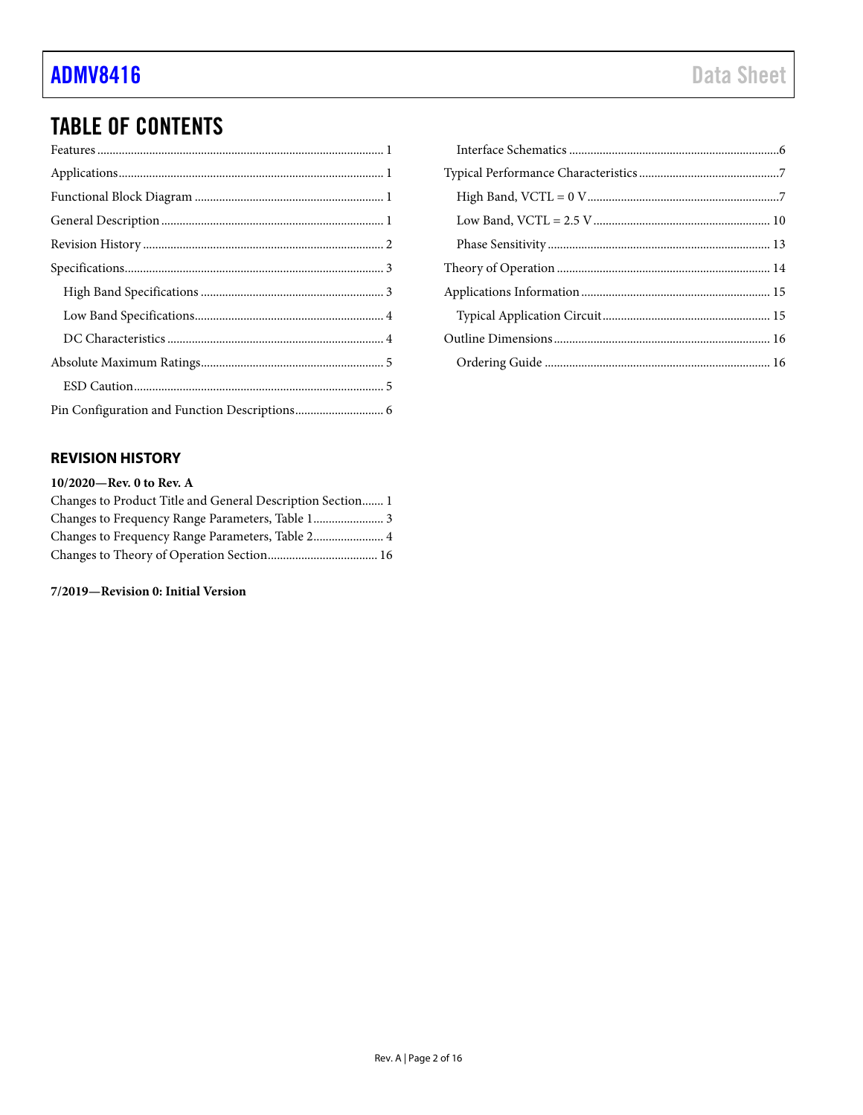# TABLE OF CONTENTS

### <span id="page-1-0"></span>**REVISION HISTORY**

### **10/2020—Rev. 0 to Rev. A** Changes to Product Title and General Description Section....... 1 Changes to Frequency Range Parameters, Table 1....................... 3 Changes to Frequency Range Parameters, Table 2....................... 4

Changes to Theory of Operation Section.................................... 16

#### **7/2019—Revision 0: Initial Version**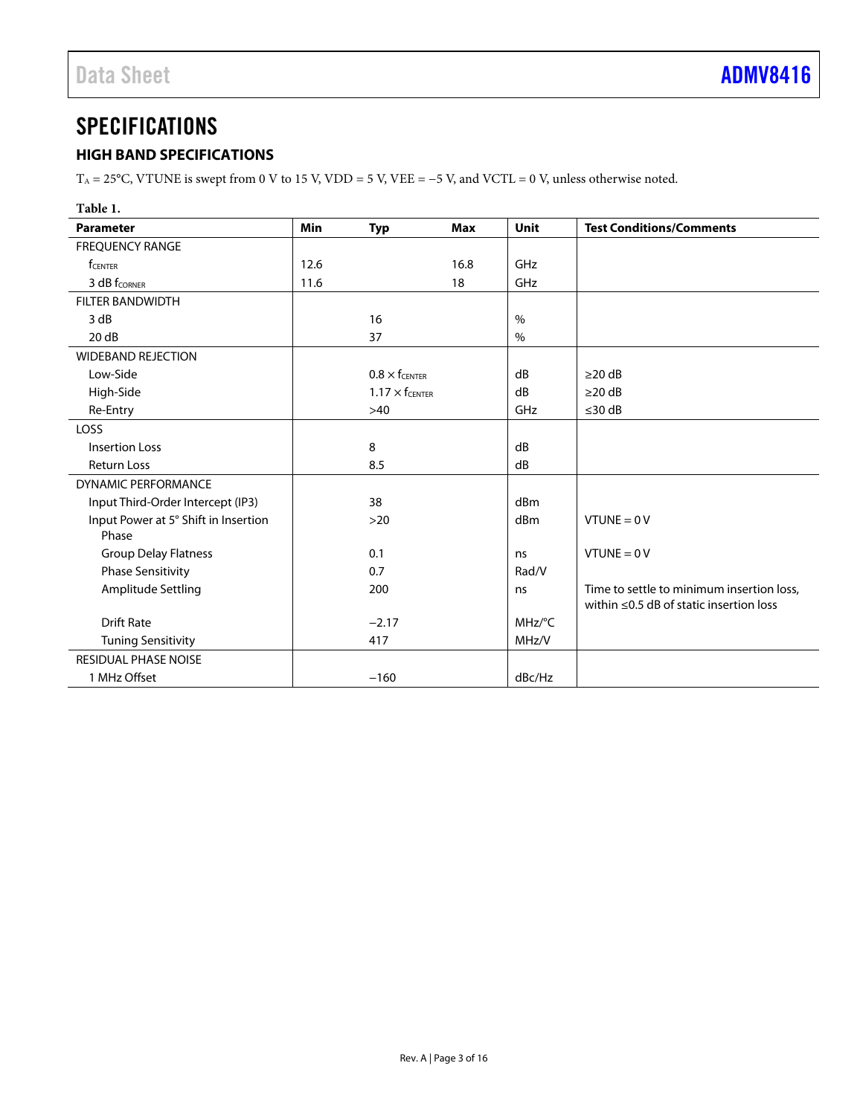# <span id="page-2-0"></span>**SPECIFICATIONS**

## <span id="page-2-1"></span>**HIGH BAND SPECIFICATIONS**

T<sub>A</sub> = 25°C, VTUNE is swept from 0 V to 15 V, VDD = 5 V, VEE = -5 V, and VCTL = 0 V, unless otherwise noted.

### **Table 1.**

| <b>Parameter</b>                     | Min  | <b>Typ</b>              | <b>Max</b> | Unit   | <b>Test Conditions/Comments</b>               |
|--------------------------------------|------|-------------------------|------------|--------|-----------------------------------------------|
| <b>FREQUENCY RANGE</b>               |      |                         |            |        |                                               |
| <b>f</b> CENTER                      | 12.6 |                         | 16.8       | GHz    |                                               |
| 3 dB f <sub>CORNER</sub>             | 11.6 |                         | 18         | GHz    |                                               |
| <b>FILTER BANDWIDTH</b>              |      |                         |            |        |                                               |
| 3 dB                                 |      | 16                      |            | $\%$   |                                               |
| 20dB                                 |      | 37                      |            | $\%$   |                                               |
| <b>WIDEBAND REJECTION</b>            |      |                         |            |        |                                               |
| Low-Side                             |      | $0.8 \times f_{CENTER}$ |            | dB     | $\geq$ 20 dB                                  |
| High-Side                            |      | $1.17 \times f$ CENTER  |            | dB     | $\geq$ 20 dB                                  |
| Re-Entry                             |      | $>40$                   |            | GHz    | $\leq$ 30 dB                                  |
| LOSS                                 |      |                         |            |        |                                               |
| <b>Insertion Loss</b>                |      | 8                       |            | dB     |                                               |
| <b>Return Loss</b>                   |      | 8.5                     |            | dB     |                                               |
| <b>DYNAMIC PERFORMANCE</b>           |      |                         |            |        |                                               |
| Input Third-Order Intercept (IP3)    |      | 38                      |            | dBm    |                                               |
| Input Power at 5° Shift in Insertion |      | $>20$                   |            | dBm    | $VTUNE = 0 V$                                 |
| Phase                                |      |                         |            |        |                                               |
| <b>Group Delay Flatness</b>          |      | 0.1                     |            | ns     | $VTUNE = 0 V$                                 |
| <b>Phase Sensitivity</b>             |      | 0.7                     |            | Rad/V  |                                               |
| Amplitude Settling                   |      | 200                     |            | ns     | Time to settle to minimum insertion loss,     |
|                                      |      |                         |            |        | within $\leq$ 0.5 dB of static insertion loss |
| <b>Drift Rate</b>                    |      | $-2.17$                 |            | MHz/°C |                                               |
| <b>Tuning Sensitivity</b>            |      | 417                     |            | MHz/V  |                                               |
| RESIDUAL PHASE NOISE                 |      |                         |            |        |                                               |
| 1 MHz Offset                         |      | $-160$                  |            | dBc/Hz |                                               |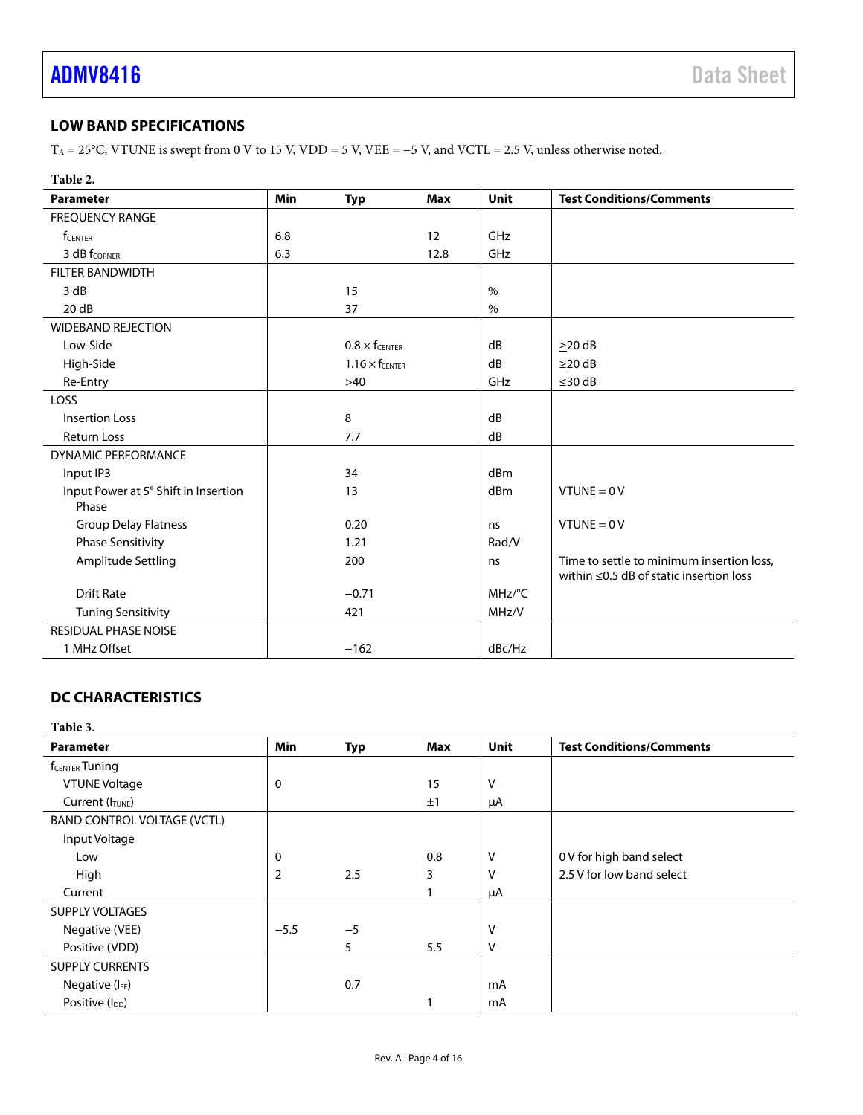## <span id="page-3-0"></span>**LOW BAND SPECIFICATIONS**

T<sub>A</sub> = 25°C, VTUNE is swept from 0 V to 15 V, VDD = 5 V, VEE =  $-5$  V, and VCTL = 2.5 V, unless otherwise noted.

| Table 2.                                      |            |                       |            |        |                                                                                            |
|-----------------------------------------------|------------|-----------------------|------------|--------|--------------------------------------------------------------------------------------------|
| <b>Parameter</b>                              | <b>Min</b> | <b>Typ</b>            | <b>Max</b> | Unit   | <b>Test Conditions/Comments</b>                                                            |
| <b>FREQUENCY RANGE</b>                        |            |                       |            |        |                                                                                            |
| <b>f</b> CENTER                               | 6.8        |                       | 12         | GHz    |                                                                                            |
| 3 dB f <sub>CORNER</sub>                      | 6.3        |                       | 12.8       | GHz    |                                                                                            |
| <b>FILTER BANDWIDTH</b>                       |            |                       |            |        |                                                                                            |
| 3 dB                                          |            | 15                    |            | $\%$   |                                                                                            |
| 20dB                                          |            | 37                    |            | $\%$   |                                                                                            |
| <b>WIDEBAND REJECTION</b>                     |            |                       |            |        |                                                                                            |
| Low-Side                                      |            | $0.8 \times$ fcenter  |            | dB     | $\geq$ 20 dB                                                                               |
| High-Side                                     |            | $1.16 \times$ fcenter |            | dB     | $\geq$ 20 dB                                                                               |
| Re-Entry                                      |            | $>40$                 |            | GHz    | ≤30 $dB$                                                                                   |
| LOSS                                          |            |                       |            |        |                                                                                            |
| <b>Insertion Loss</b>                         |            | 8                     |            | dB     |                                                                                            |
| <b>Return Loss</b>                            |            | 7.7                   |            | dB     |                                                                                            |
| <b>DYNAMIC PERFORMANCE</b>                    |            |                       |            |        |                                                                                            |
| Input IP3                                     |            | 34                    |            | dBm    |                                                                                            |
| Input Power at 5° Shift in Insertion<br>Phase |            | 13                    |            | dBm    | $VTUNE = 0 V$                                                                              |
| <b>Group Delay Flatness</b>                   |            | 0.20                  |            | ns     | $VTUNE = 0 V$                                                                              |
| <b>Phase Sensitivity</b>                      |            | 1.21                  |            | Rad/V  |                                                                                            |
| Amplitude Settling                            |            | 200                   |            | ns     | Time to settle to minimum insertion loss,<br>within $\leq$ 0.5 dB of static insertion loss |
| <b>Drift Rate</b>                             |            | $-0.71$               |            | MHz/°C |                                                                                            |
| <b>Tuning Sensitivity</b>                     |            | 421                   |            | MHz/V  |                                                                                            |
| <b>RESIDUAL PHASE NOISE</b>                   |            |                       |            |        |                                                                                            |
| 1 MHz Offset                                  |            | $-162$                |            | dBc/Hz |                                                                                            |

## <span id="page-3-1"></span>**DC CHARACTERISTICS**

### **Table 3.**

| <b>Parameter</b>                   | <b>Min</b> | <b>Typ</b> | <b>Max</b> | <b>Unit</b> | <b>Test Conditions/Comments</b> |
|------------------------------------|------------|------------|------------|-------------|---------------------------------|
| <b>f</b> CENTER Tuning             |            |            |            |             |                                 |
| <b>VTUNE Voltage</b>               | 0          |            | 15         | v           |                                 |
| Current (ITUNE)                    |            |            | ±1         | μA          |                                 |
| <b>BAND CONTROL VOLTAGE (VCTL)</b> |            |            |            |             |                                 |
| Input Voltage                      |            |            |            |             |                                 |
| Low                                | 0          |            | 0.8        | v           | 0 V for high band select        |
| High                               | 2          | 2.5        | 3          | v           | 2.5 V for low band select       |
| Current                            |            |            |            | μA          |                                 |
| <b>SUPPLY VOLTAGES</b>             |            |            |            |             |                                 |
| Negative (VEE)                     | $-5.5$     | $-5$       |            | v           |                                 |
| Positive (VDD)                     |            | 5          | 5.5        | v           |                                 |
| <b>SUPPLY CURRENTS</b>             |            |            |            |             |                                 |
| Negative (IEE)                     |            | 0.7        |            | mA          |                                 |
| Positive (I <sub>DD</sub> )        |            |            |            | mA          |                                 |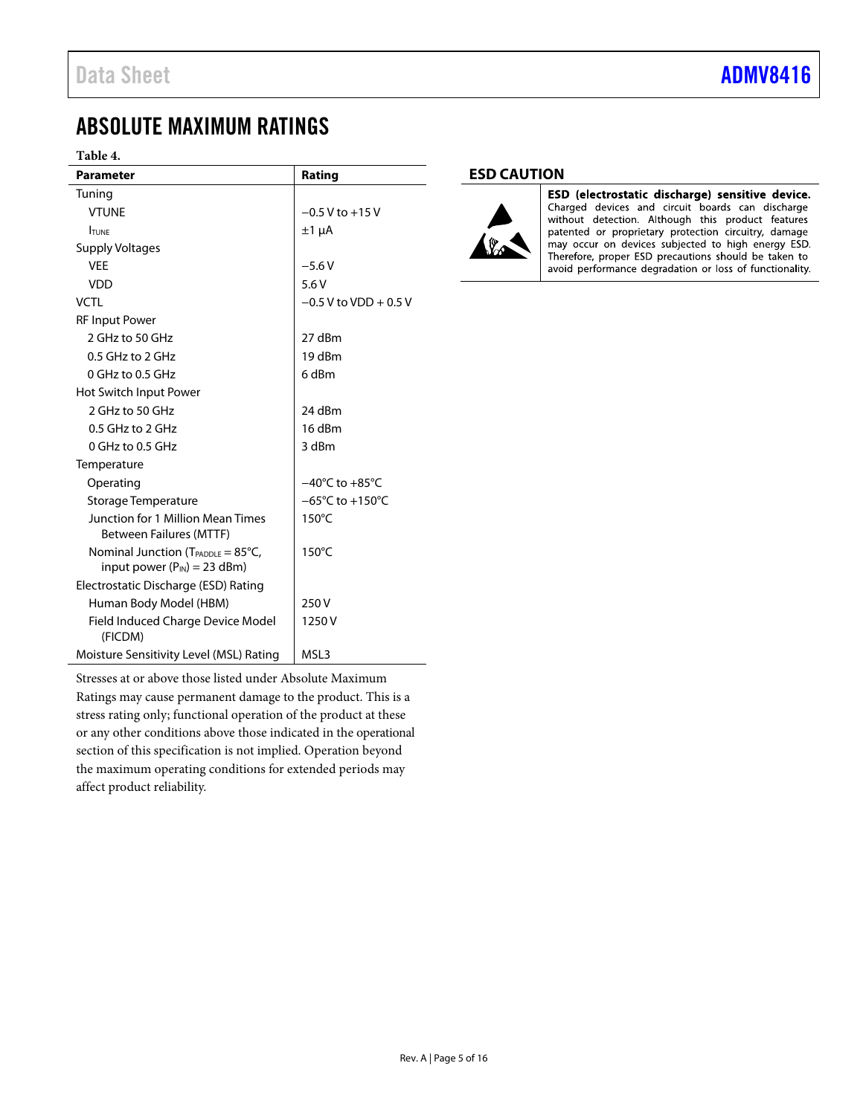# <span id="page-4-0"></span>ABSOLUTE MAXIMUM RATINGS

### **Table 4.**

| <b>Parameter</b>                                                                           | Rating                              |
|--------------------------------------------------------------------------------------------|-------------------------------------|
| Tuning                                                                                     |                                     |
| <b>VTUNE</b>                                                                               | $-0.5$ V to $+15$ V                 |
| <b>TUNE</b>                                                                                | $±1 \mu A$                          |
| <b>Supply Voltages</b>                                                                     |                                     |
| <b>VFF</b>                                                                                 | $-5.6V$                             |
| <b>VDD</b>                                                                                 | 5.6V                                |
| <b>VCTL</b>                                                                                | $-0.5$ V to VDD $+0.5$ V            |
| <b>RF Input Power</b>                                                                      |                                     |
| 2 GHz to 50 GHz                                                                            | 27 dBm                              |
| 0.5 GHz to 2 GHz                                                                           | 19 dBm                              |
| $0$ GHz to 0.5 GHz                                                                         | 6 dBm                               |
| Hot Switch Input Power                                                                     |                                     |
| 2 GHz to 50 GHz                                                                            | 24 dBm                              |
| 0.5 GHz to 2 GHz                                                                           | 16 dBm                              |
| 0 GHz to 0.5 GHz                                                                           | 3 dBm                               |
| Temperature                                                                                |                                     |
| Operating                                                                                  | $-40^{\circ}$ C to $+85^{\circ}$ C  |
| Storage Temperature                                                                        | $-65^{\circ}$ C to $+150^{\circ}$ C |
| Junction for 1 Million Mean Times<br><b>Between Failures (MTTF)</b>                        | 150°C                               |
| Nominal Junction ( $T_{\text{PADDLE}} = 85^{\circ}C$ ,<br>input power $(P_{IN}) = 23$ dBm) | $150^{\circ}$ C                     |
| Electrostatic Discharge (ESD) Rating                                                       |                                     |
| Human Body Model (HBM)                                                                     | 250 V                               |
| Field Induced Charge Device Model<br>(FICDM)                                               | 1250 V                              |
| Moisture Sensitivity Level (MSL) Rating                                                    | MSL3                                |

Stresses at or above those listed under Absolute Maximum Ratings may cause permanent damage to the product. This is a stress rating only; functional operation of the product at these or any other conditions above those indicated in the operational section of this specification is not implied. Operation beyond the maximum operating conditions for extended periods may affect product reliability.

### <span id="page-4-1"></span>**ESD CAUTION**



ESD (electrostatic discharge) sensitive device. Charged devices and circuit boards can discharge without detection. Although this product features patented or proprietary protection circuitry, damage may occur on devices subjected to high energy ESD. Therefore, proper ESD precautions should be taken to avoid performance degradation or loss of functionality.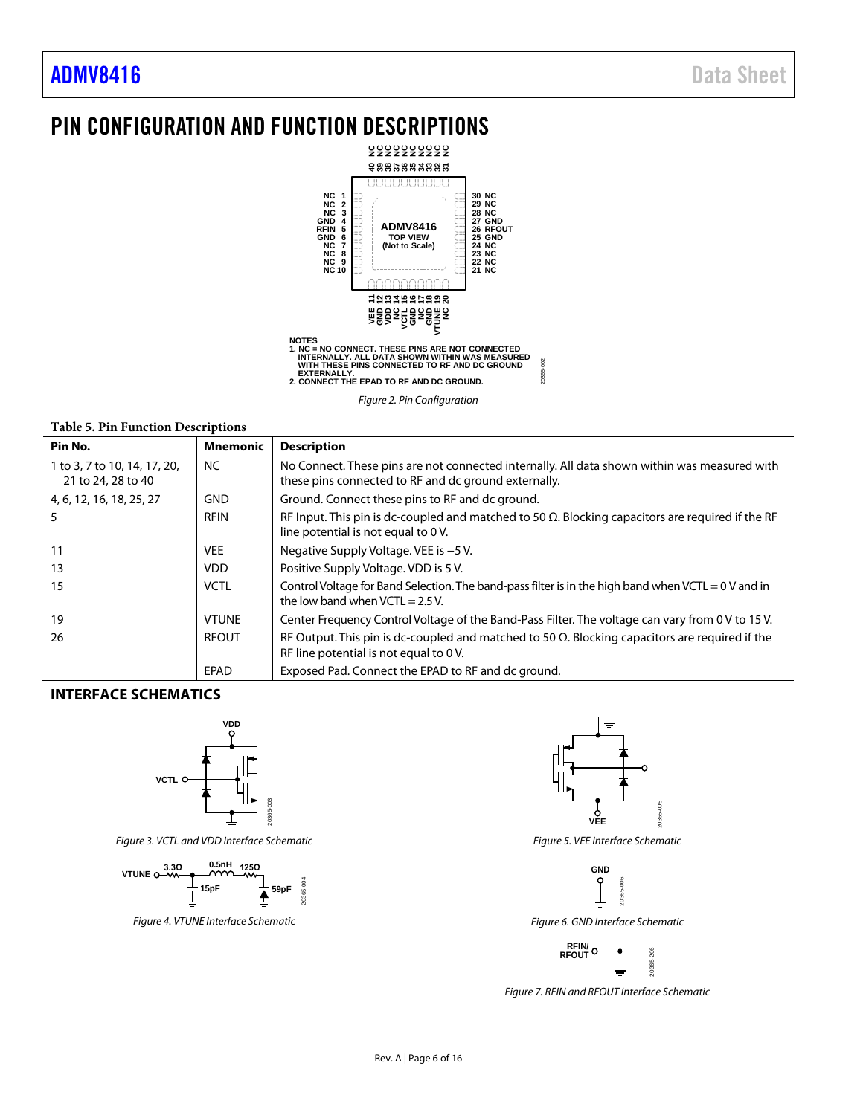# <span id="page-5-0"></span>PIN CONFIGURATION AND FUNCTION DESCRIPTIONS



*Figure 2. Pin Configuration*

#### **Table 5. Pin Function Descriptions**

| Pin No.                      | <b>Mnemonic</b> | <b>Description</b>                                                                                                                               |
|------------------------------|-----------------|--------------------------------------------------------------------------------------------------------------------------------------------------|
| 1 to 3, 7 to 10, 14, 17, 20, | <b>NC</b>       | No Connect. These pins are not connected internally. All data shown within was measured with                                                     |
| 21 to 24, 28 to 40           |                 | these pins connected to RF and dc ground externally.                                                                                             |
| 4, 6, 12, 16, 18, 25, 27     | <b>GND</b>      | Ground. Connect these pins to RF and dc ground.                                                                                                  |
| 5                            | <b>RFIN</b>     | RF Input. This pin is dc-coupled and matched to 50 $\Omega$ . Blocking capacitors are required if the RF<br>line potential is not equal to 0 V.  |
| 11                           | <b>VEE</b>      | Negative Supply Voltage. VEE is -5 V.                                                                                                            |
| 13                           | <b>VDD</b>      | Positive Supply Voltage. VDD is 5 V.                                                                                                             |
| 15                           | <b>VCTL</b>     | Control Voltage for Band Selection. The band-pass filter is in the high band when VCTL = 0 V and in<br>the low band when $VCTL = 2.5 V$ .        |
| 19                           | <b>VTUNE</b>    | Center Frequency Control Voltage of the Band-Pass Filter. The voltage can vary from 0 V to 15 V.                                                 |
| 26                           | <b>RFOUT</b>    | RF Output. This pin is dc-coupled and matched to 50 $\Omega$ . Blocking capacitors are required if the<br>RF line potential is not equal to 0 V. |
|                              | EPAD            | Exposed Pad. Connect the EPAD to RF and dc ground.                                                                                               |

#### <span id="page-5-1"></span>**INTERFACE SCHEMATICS**



*Figure 3. VCTL and VDD Interface Schematic*



*Figure 4. VTUNE Interface Schematic*



*Figure 5. VEE Interface Schematic*



*Figure 6. GND Interface Schematic*



*Figure 7. RFIN and RFOUT Interface Schematic*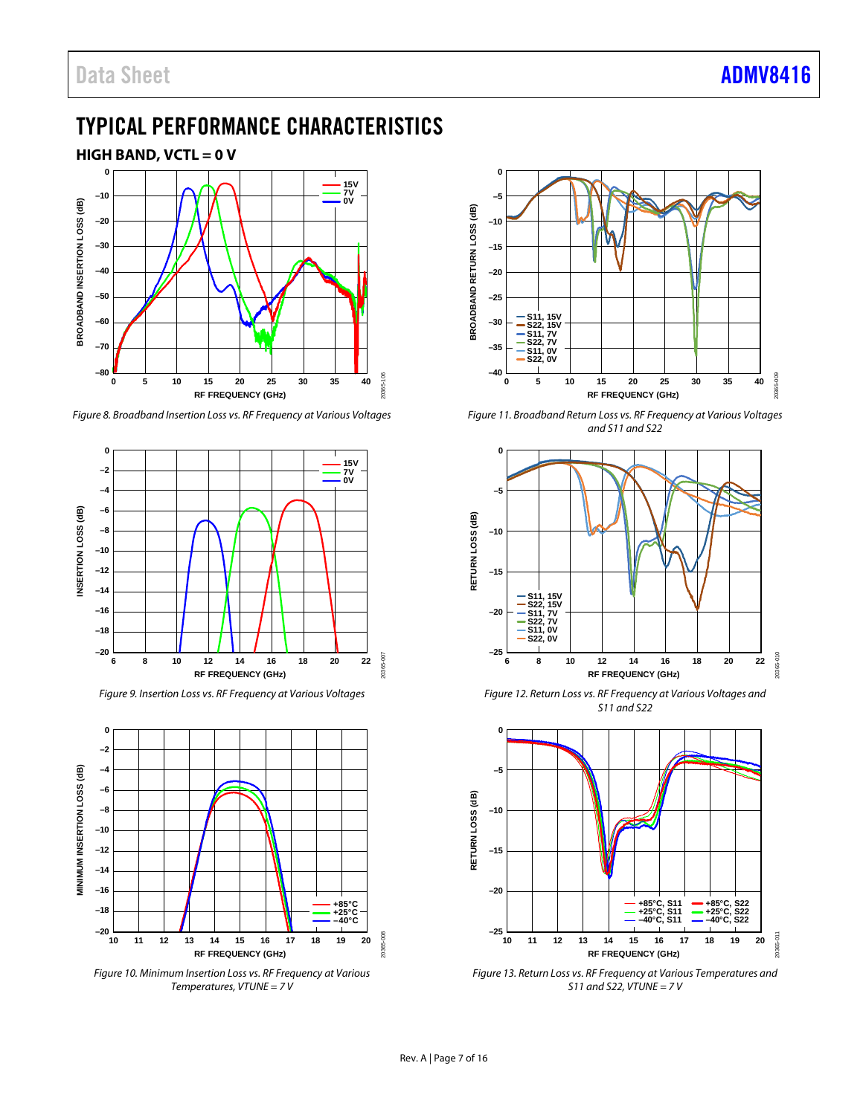# <span id="page-6-0"></span>TYPICAL PERFORMANCE CHARACTERISTICS

<span id="page-6-1"></span>

*Figure 8. Broadband Insertion Loss vs. RF Frequency at Various Voltages*



*Figure 9. Insertion Loss vs. RF Frequency at Various Voltages*



*Figure 10. Minimum Insertion Loss vs. RF Frequency at Various Temperatures, VTUNE = 7 V*



*Figure 11. Broadband Return Loss vs. RF Frequency at Various Voltages and S11 and S22*



*Figure 12. Return Loss vs. RF Frequency at Various Voltages and S11 and S22*



*Figure 13. Return Loss vs. RF Frequency at Various Temperatures and S11 and S22, VTUNE = 7 V*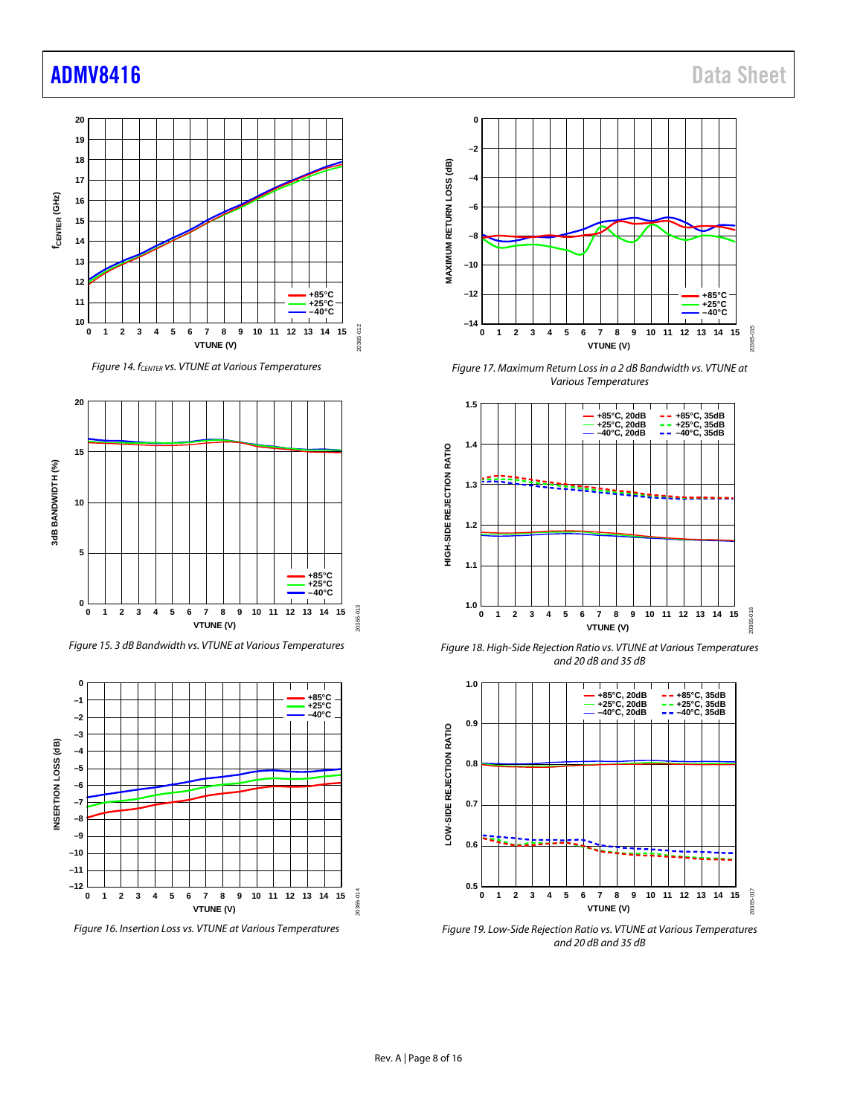# [ADMV8416](https://www.analog.com/ADMV8416?doc=ADMV8416.pdf) Data Sheet







*Figure 15. 3 dB Bandwidth vs. VTUNE at Various Temperatures*



*Figure 16. Insertion Loss vs. VTUNE at Various Temperatures*



*Figure 17. Maximum Return Loss in a 2 dB Bandwidth vs. VTUNE at Various Temperatures*



*Figure 18. High-Side Rejection Ratio vs. VTUNE at Various Temperatures and 20 dB and 35 dB*



*Figure 19. Low-Side Rejection Ratio vs. VTUNE at Various Temperatures and 20 dB and 35 dB*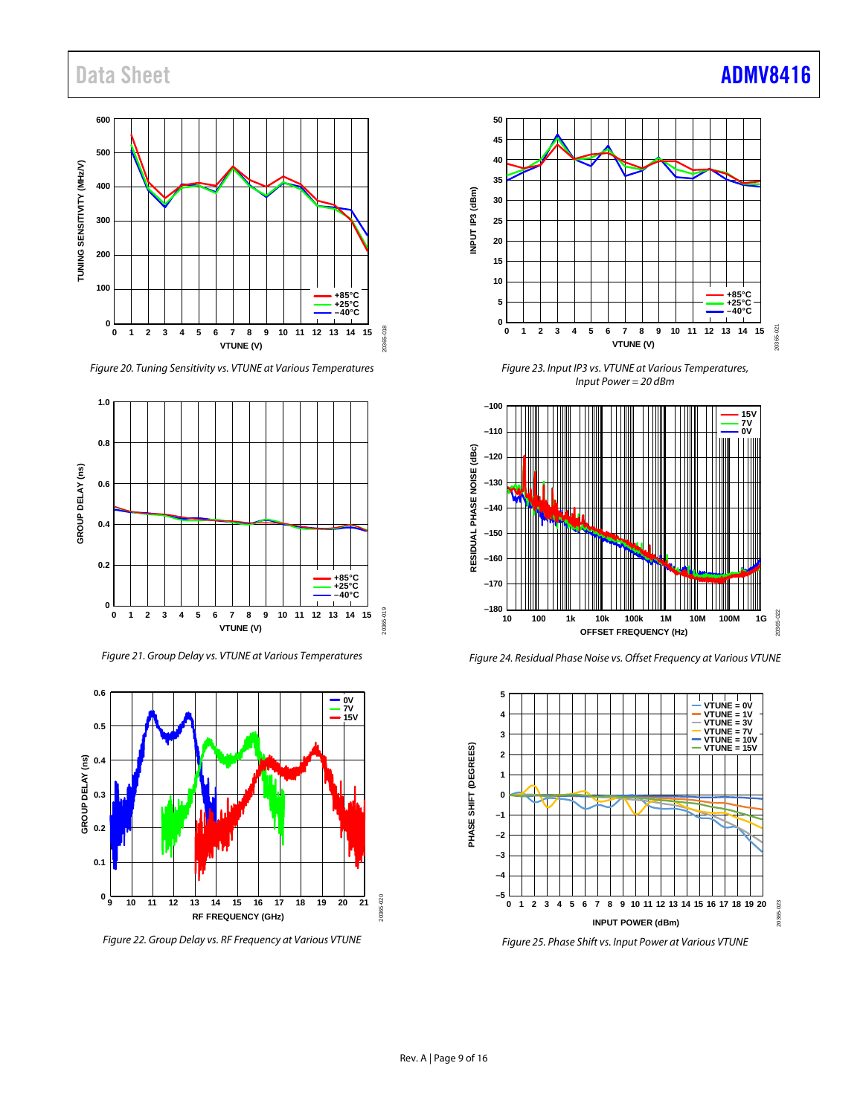# Data Sheet **[ADMV8416](https://www.analog.com/ADMV8416?doc=ADMV8416.pdf)**

#### **600 500** TUNING SENSITIVITY (MHZ/V) **TUNING SENSITIVITY (MHz/V) 400 300 200 100 +85°C +25°C –40°C 0** 20365-018 20365-018 **0 1 2 3 4 5 6 7 8 9 10 11 12 13 14 15 1 2 3 4 5 6 7 8 9 10 11 12 13 14 VTUNE (V)**

*Figure 20. Tuning Sensitivity vs. VTUNE at Various Temperatures*



*Figure 21. Group Delay vs. VTUNE at Various Temperatures*



*Figure 22. Group Delay vs. RF Frequency at Various VTUNE*



*Figure 23. Input IP3 vs. VTUNE at Various Temperatures, Input Power = 20 dBm*



*Figure 24. Residual Phase Noise vs. Offset Frequency at Various VTUNE*



*Figure 25. Phase Shift vs. Input Power at Various VTUNE*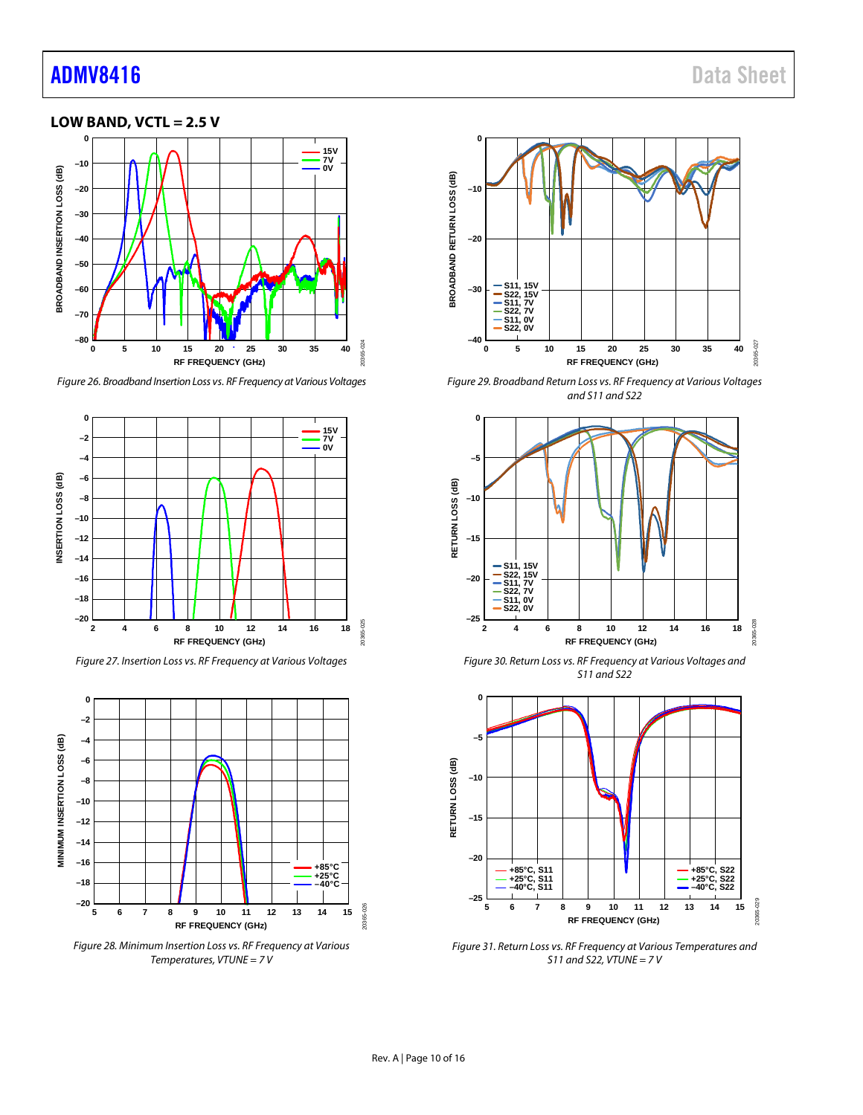# [ADMV8416](https://www.analog.com/ADMV8416?doc=ADMV8416.pdf) Data Sheet

### <span id="page-9-0"></span>**LOW BAND, VCTL = 2.5 V**



*Figure 26. Broadband Insertion Loss vs. RF Frequency at Various Voltages*



*Figure 27. Insertion Loss vs. RF Frequency at Various Voltages*



*Figure 28. Minimum Insertion Loss vs. RF Frequency at Various Temperatures, VTUNE = 7 V*



*Figure 29. Broadband Return Loss vs. RF Frequency at Various Voltages and S11 and S22*



*Figure 30. Return Loss vs. RF Frequency at Various Voltages and S11 and S22*



*Figure 31. Return Loss vs. RF Frequency at Various Temperatures and S11 and S22, VTUNE = 7 V*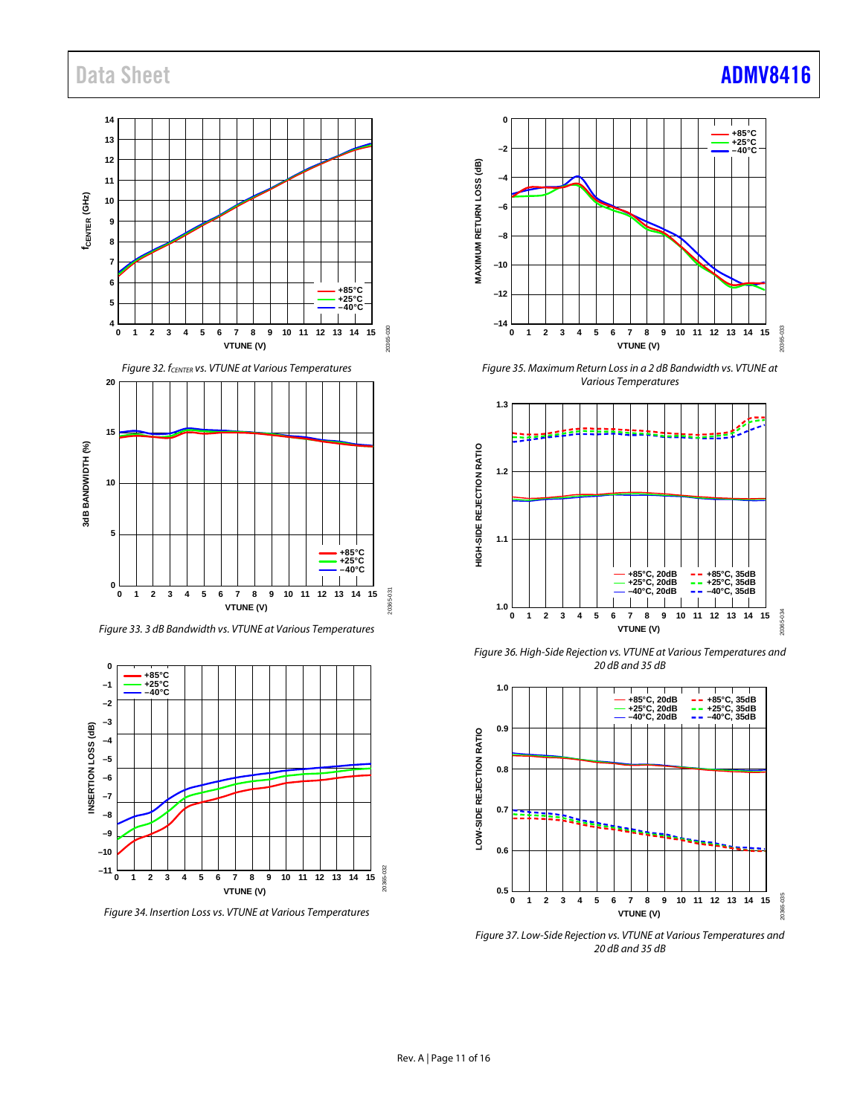# Data Sheet **[ADMV8416](https://www.analog.com/ADMV8416?doc=ADMV8416.pdf)**

**14**

### **13 12 11** f<sub>CENTER</sub> (GHz) **fCENTER (GHz) 10 9 8 7 6 +85°C +25°C –40°C <sup>5</sup> 4** 20365-030 20365-030 **0 15 1 2 3 4 5 6 7 8 9 10 11 12 13 14 VTUNE (V)** *Figure 32. fCENTER vs. VTUNE at Various Temperatures* **20 15** 3dB BANDWIDTH (%) **3dB BANDWIDTH (%) 10 5 +85°C +25°C –40°C 0** 20365-031 20365-031 **0 15 1 2 3 4 5 6 7 8 9 10 11 12 13 14 VTUNE (V)**

*Figure 33. 3 dB Bandwidth vs. VTUNE at Various Temperatures*



*Figure 34. Insertion Loss vs. VTUNE at Various Temperatures*



*Figure 35. Maximum Return Loss in a 2 dB Bandwidth vs. VTUNE at Various Temperatures*



*Figure 36. High-Side Rejection vs. VTUNE at Various Temperatures and 20 dB and 35 dB*



*Figure 37. Low-Side Rejection vs. VTUNE at Various Temperatures and 20 dB and 35 dB*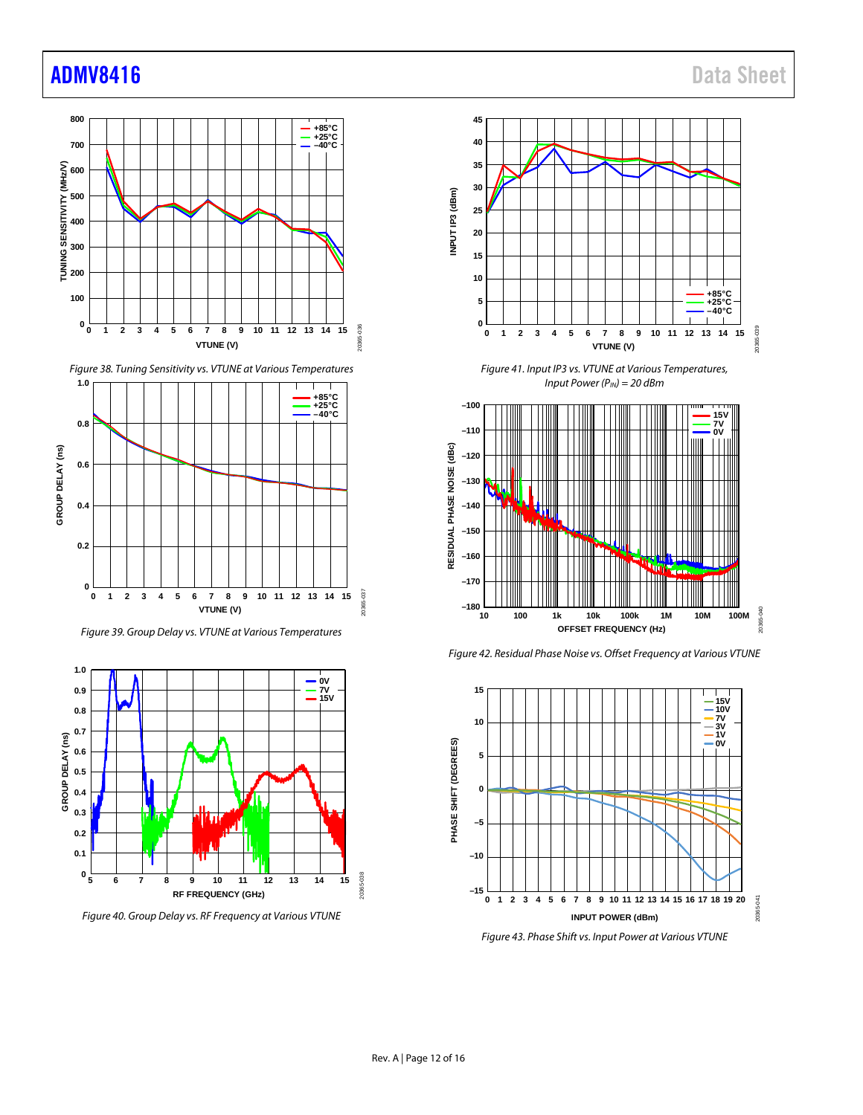# [ADMV8416](https://www.analog.com/ADMV8416?doc=ADMV8416.pdf) Data Sheet





*Figure 39. Group Delay vs. VTUNE at Various Temperatures*



*Figure 40. Group Delay vs. RF Frequency at Various VTUNE*



*Figure 41. Input IP3 vs. VTUNE at Various Temperatures, Input Power (PIN) = 20 dBm*



*Figure 42. Residual Phase Noise vs. Offset Frequency at Various VTUNE*



*Figure 43. Phase Shift vs. Input Power at Various VTUNE*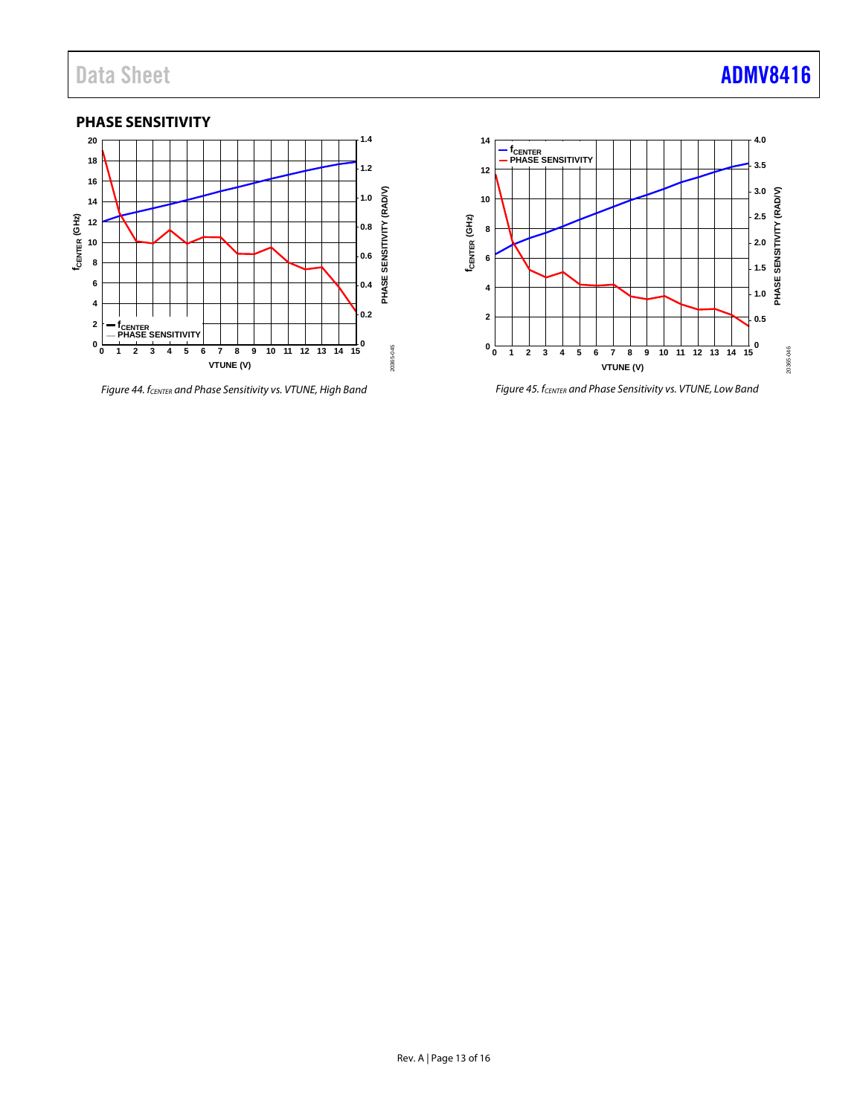### <span id="page-12-0"></span>**PHASE SENSITIVITY**



*Figure 44. fCENTER and Phase Sensitivity vs. VTUNE, High Band*



*Figure 45. fCENTER and Phase Sensitivity vs. VTUNE, Low Band*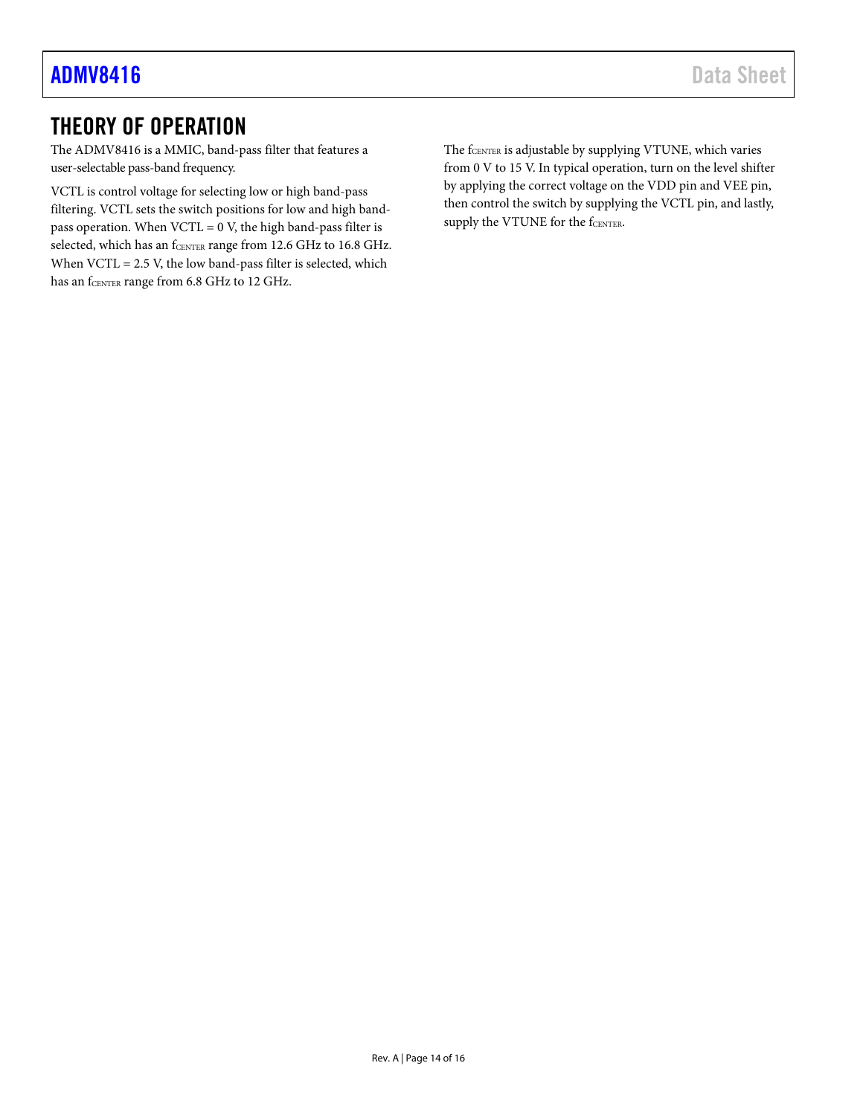# <span id="page-13-0"></span>THEORY OF OPERATION

The ADMV8416 is a MMIC, band-pass filter that features a user-selectable pass-band frequency.

VCTL is control voltage for selecting low or high band-pass filtering. VCTL sets the switch positions for low and high bandpass operation. When  $VCTL = 0$  V, the high band-pass filter is selected, which has an fCENTER range from 12.6 GHz to 16.8 GHz. When VCTL = 2.5 V, the low band-pass filter is selected, which has an fCENTER range from 6.8 GHz to 12 GHz.

The fCENTER is adjustable by supplying VTUNE, which varies from 0 V to 15 V. In typical operation, turn on the level shifter by applying the correct voltage on the VDD pin and VEE pin, then control the switch by supplying the VCTL pin, and lastly, supply the VTUNE for the fCENTER.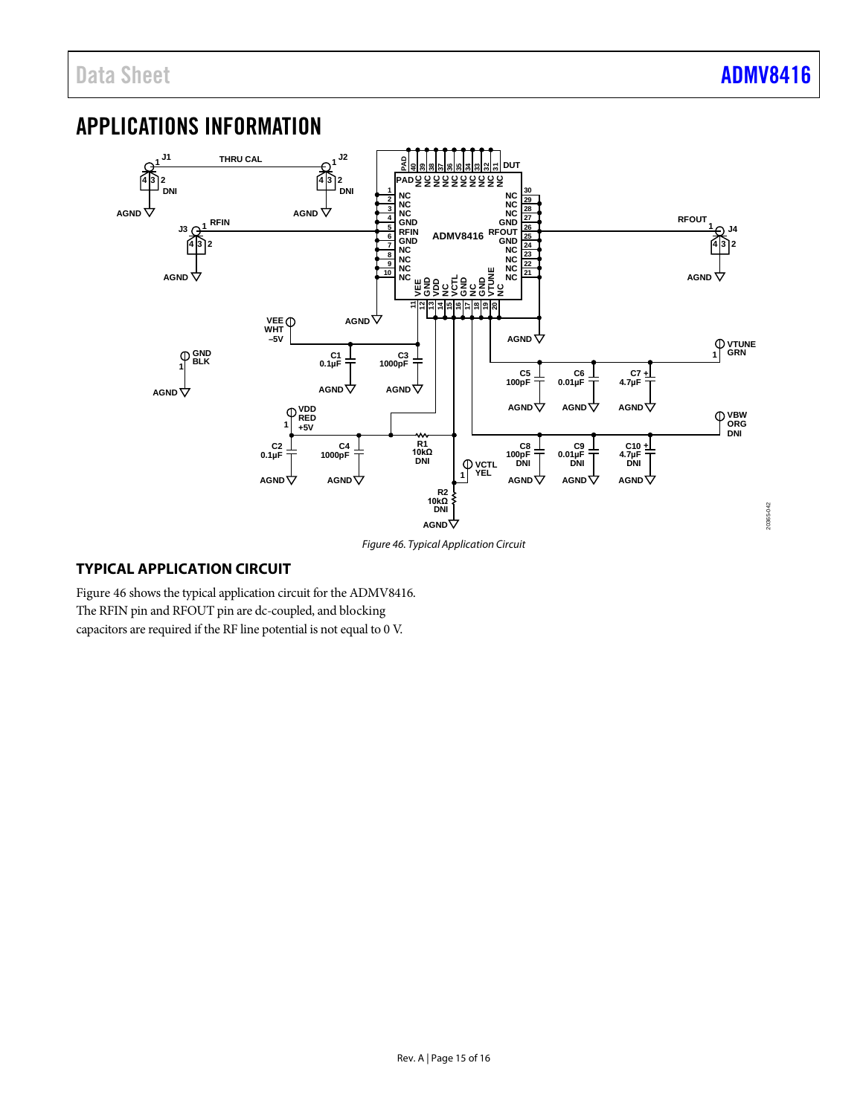20365-042

20365-042

# <span id="page-14-0"></span>APPLICATIONS INFORMATION



*Figure 46. Typical Application Circuit*

### <span id="page-14-2"></span><span id="page-14-1"></span>**TYPICAL APPLICATION CIRCUIT**

[Figure 46](#page-14-2) shows the typical application circuit for the ADMV8416. The RFIN pin and RFOUT pin are dc-coupled, and blocking capacitors are required if the RF line potential is not equal to 0 V.